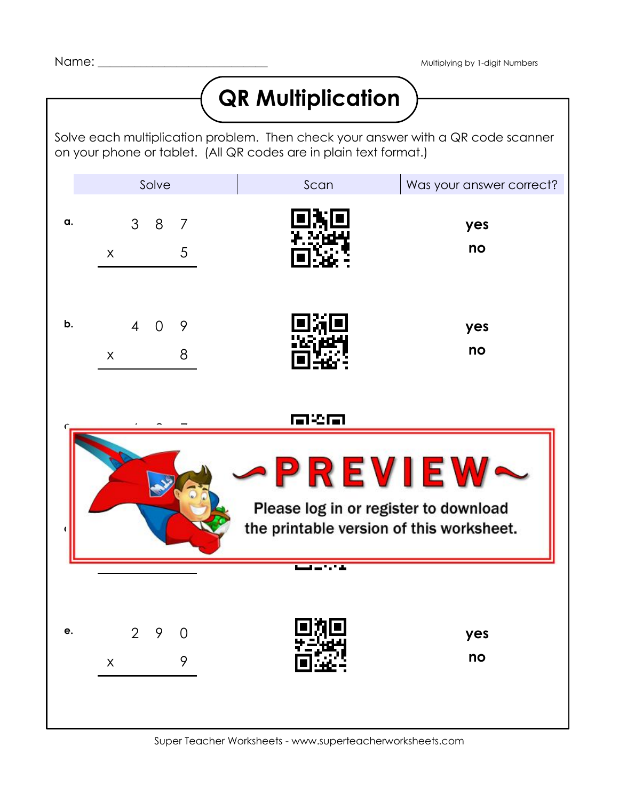## **QR Multiplication**

Solve each multiplication problem. Then check your answer with a QR code scanner on your phone or tablet. (All QR codes are in plain text format.)

|                                                                                                            | Solve                                                  |                      | Scan | Was your answer correct? |
|------------------------------------------------------------------------------------------------------------|--------------------------------------------------------|----------------------|------|--------------------------|
| α.                                                                                                         | 38<br>$\pmb{\times}$                                   | 7<br>$5\phantom{.0}$ |      | yes<br>no                |
| b.                                                                                                         | $\overline{4}$<br>$\overline{0}$<br>$\pmb{\mathsf{X}}$ | 9<br>8               |      | yes<br>no                |
| 南华南<br><b>PREVIEW</b><br>Please log in or register to download<br>the printable version of this worksheet. |                                                        |                      |      |                          |
|                                                                                                            |                                                        |                      |      |                          |
| e.                                                                                                         | $\overline{2}$<br>9<br>$\mathsf X$                     | $\Omega$<br>9        |      | yes<br>no                |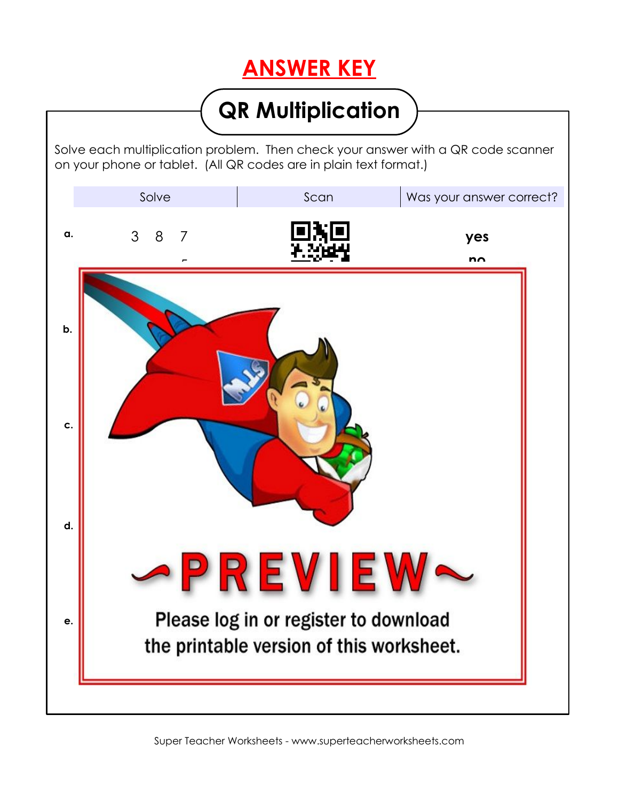## **ANSWER KEY**